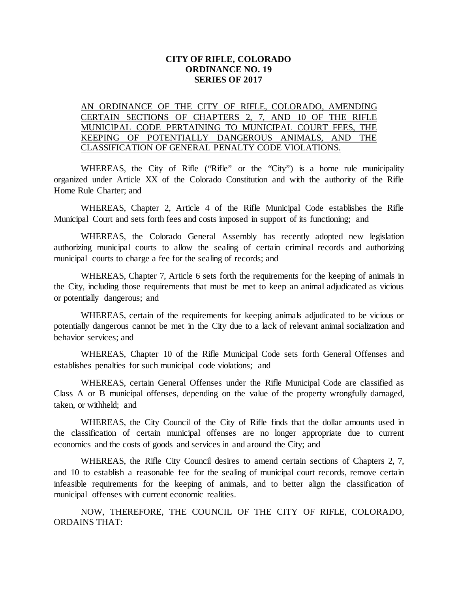### **CITY OF RIFLE, COLORADO ORDINANCE NO. 19 SERIES OF 2017**

## AN ORDINANCE OF THE CITY OF RIFLE, COLORADO, AMENDING CERTAIN SECTIONS OF CHAPTERS 2, 7, AND 10 OF THE RIFLE MUNICIPAL CODE PERTAINING TO MUNICIPAL COURT FEES, THE KEEPING OF POTENTIALLY DANGEROUS ANIMALS, AND THE CLASSIFICATION OF GENERAL PENALTY CODE VIOLATIONS.

WHEREAS, the City of Rifle ("Rifle" or the "City") is a home rule municipality organized under Article XX of the Colorado Constitution and with the authority of the Rifle Home Rule Charter; and

WHEREAS, Chapter 2, Article 4 of the Rifle Municipal Code establishes the Rifle Municipal Court and sets forth fees and costs imposed in support of its functioning; and

WHEREAS, the Colorado General Assembly has recently adopted new legislation authorizing municipal courts to allow the sealing of certain criminal records and authorizing municipal courts to charge a fee for the sealing of records; and

WHEREAS, Chapter 7, Article 6 sets forth the requirements for the keeping of animals in the City, including those requirements that must be met to keep an animal adjudicated as vicious or potentially dangerous; and

WHEREAS, certain of the requirements for keeping animals adjudicated to be vicious or potentially dangerous cannot be met in the City due to a lack of relevant animal socialization and behavior services; and

WHEREAS, Chapter 10 of the Rifle Municipal Code sets forth General Offenses and establishes penalties for such municipal code violations; and

WHEREAS, certain General Offenses under the Rifle Municipal Code are classified as Class A or B municipal offenses, depending on the value of the property wrongfully damaged, taken, or withheld; and

WHEREAS, the City Council of the City of Rifle finds that the dollar amounts used in the classification of certain municipal offenses are no longer appropriate due to current economics and the costs of goods and services in and around the City; and

WHEREAS, the Rifle City Council desires to amend certain sections of Chapters 2, 7, and 10 to establish a reasonable fee for the sealing of municipal court records, remove certain infeasible requirements for the keeping of animals, and to better align the classification of municipal offenses with current economic realities.

NOW, THEREFORE, THE COUNCIL OF THE CITY OF RIFLE, COLORADO, ORDAINS THAT: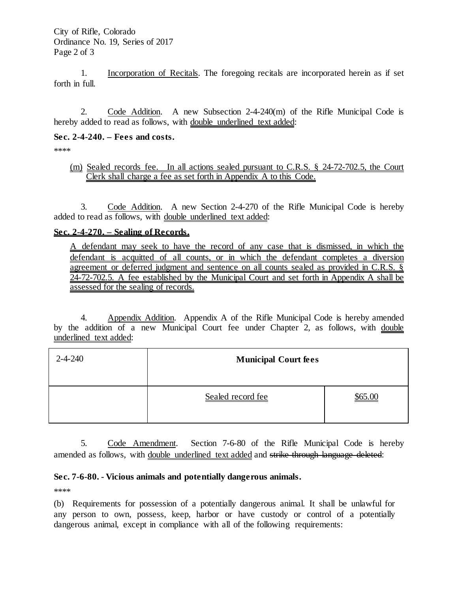1. Incorporation of Recitals. The foregoing recitals are incorporated herein as if set forth in full.

2. Code Addition. A new Subsection 2-4-240(m) of the Rifle Municipal Code is hereby added to read as follows, with double underlined text added:

### **Sec. 2-4-240. – Fees and costs.**

\*\*\*\*

(m) Sealed records fee. In all actions sealed pursuant to C.R.S. § 24-72-702.5, the Court Clerk shall charge a fee as set forth in Appendix A to this Code.

3. Code Addition. A new Section 2-4-270 of the Rifle Municipal Code is hereby added to read as follows, with double underlined text added:

# **Sec. 2-4-270. – Sealing of Records.**

A defendant may seek to have the record of any case that is dismissed, in which the defendant is acquitted of all counts, or in which the defendant completes a diversion agreement or deferred judgment and sentence on all counts sealed as provided in C.R.S. § 24-72-702.5. A fee established by the Municipal Court and set forth in Appendix A shall be assessed for the sealing of records.

4. Appendix Addition. Appendix A of the Rifle Municipal Code is hereby amended by the addition of a new Municipal Court fee under Chapter 2, as follows, with double underlined text added:

| $2 - 4 - 240$ | <b>Municipal Court fees</b> |         |
|---------------|-----------------------------|---------|
|               | Sealed record fee           | \$65.00 |

5. Code Amendment. Section 7-6-80 of the Rifle Municipal Code is hereby amended as follows, with double underlined text added and strike through language deleted:

# **Sec. 7-6-80. - Vicious animals and potentially dangerous animals.**

\*\*\*\*

(b) Requirements for possession of a potentially dangerous animal. It shall be unlawful for any person to own, possess, keep, harbor or have custody or control of a potentially dangerous animal, except in compliance with all of the following requirements: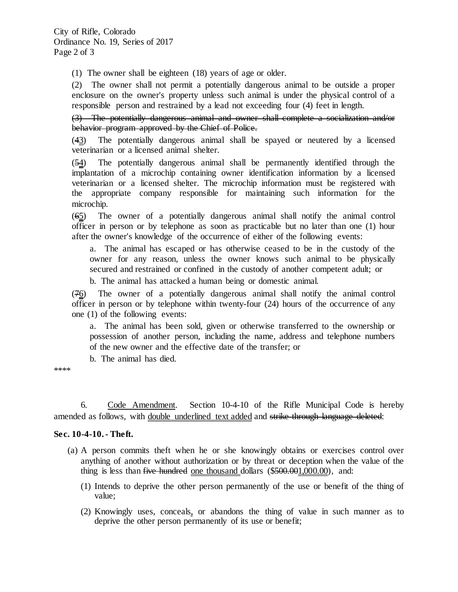(1) The owner shall be eighteen (18) years of age or older.

(2) The owner shall not permit a potentially dangerous animal to be outside a proper enclosure on the owner's property unless such animal is under the physical control of a responsible person and restrained by a lead not exceeding four (4) feet in length.

(3) The potentially dangerous animal and owner shall complete a socialization and/or behavior program approved by the Chief of Police.

(43) The potentially dangerous animal shall be spayed or neutered by a licensed veterinarian or a licensed animal shelter.

(54) The potentially dangerous animal shall be permanently identified through the implantation of a microchip containing owner identification information by a licensed veterinarian or a licensed shelter. The microchip information must be registered with the appropriate company responsible for maintaining such information for the microchip.

(65) The owner of a potentially dangerous animal shall notify the animal control officer in person or by telephone as soon as practicable but no later than one (1) hour after the owner's knowledge of the occurrence of either of the following events:

a. The animal has escaped or has otherwise ceased to be in the custody of the owner for any reason, unless the owner knows such animal to be physically secured and restrained or confined in the custody of another competent adult; or

b. The animal has attacked a human being or domestic animal.

(76) The owner of a potentially dangerous animal shall notify the animal control officer in person or by telephone within twenty-four (24) hours of the occurrence of any one (1) of the following events:

a. The animal has been sold, given or otherwise transferred to the ownership or possession of another person, including the name, address and telephone numbers of the new owner and the effective date of the transfer; or

b. The animal has died.

\*\*\*\*

6. Code Amendment. Section 10-4-10 of the Rifle Municipal Code is hereby amended as follows, with double underlined text added and strike through language deleted:

#### **Sec. 10-4-10. - Theft.**

- (a) A person commits theft when he or she knowingly obtains or exercises control over anything of another without authorization or by threat or deception when the value of the thing is less than five hundred one thousand dollars (\$500.001,000.00), and:
	- (1) Intends to deprive the other person permanently of the use or benefit of the thing of value;
	- (2) Knowingly uses, conceals, or abandons the thing of value in such manner as to deprive the other person permanently of its use or benefit;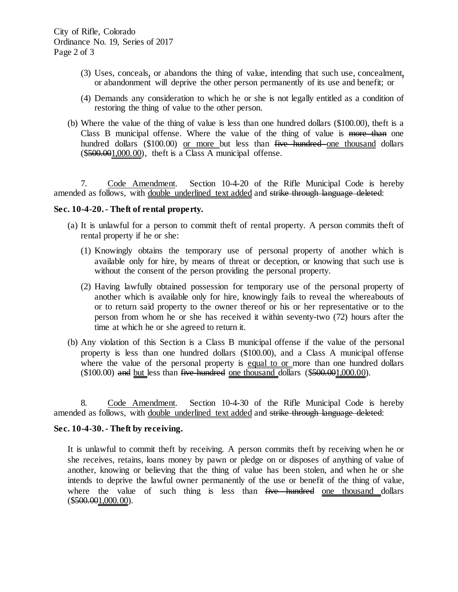- (3) Uses, conceals, or abandons the thing of value, intending that such use, concealment, or abandonment will deprive the other person permanently of its use and benefit; or
- (4) Demands any consideration to which he or she is not legally entitled as a condition of restoring the thing of value to the other person.
- (b) Where the value of the thing of value is less than one hundred dollars (\$100.00), theft is a Class B municipal offense. Where the value of the thing of value is more than one hundred dollars (\$100.00) or more but less than five hundred one thousand dollars  $($500.001,000.00)$ , theft is a Class A municipal offense.

7. Code Amendment. Section 10-4-20 of the Rifle Municipal Code is hereby amended as follows, with double underlined text added and strike through language deleted:

### **Sec. 10-4-20. - Theft of rental property.**

- (a) It is unlawful for a person to commit theft of rental property. A person commits theft of rental property if he or she:
	- (1) Knowingly obtains the temporary use of personal property of another which is available only for hire, by means of threat or deception, or knowing that such use is without the consent of the person providing the personal property.
	- (2) Having lawfully obtained possession for temporary use of the personal property of another which is available only for hire, knowingly fails to reveal the whereabouts of or to return said property to the owner thereof or his or her representative or to the person from whom he or she has received it within seventy-two (72) hours after the time at which he or she agreed to return it.
- (b) Any violation of this Section is a Class B municipal offense if the value of the personal property is less than one hundred dollars (\$100.00), and a Class A municipal offense where the value of the personal property is equal to or more than one hundred dollars  $($100.00)$  and but less than five hundred one thousand dollars  $($500.001,000.00)$ .

8. Code Amendment. Section 10-4-30 of the Rifle Municipal Code is hereby amended as follows, with double underlined text added and strike through language deleted:

#### **Sec. 10-4-30. - Theft by receiving.**

It is unlawful to commit theft by receiving. A person commits theft by receiving when he or she receives, retains, loans money by pawn or pledge on or disposes of anything of value of another, knowing or believing that the thing of value has been stolen, and when he or she intends to deprive the lawful owner permanently of the use or benefit of the thing of value, where the value of such thing is less than five hundred one thousand dollars  $($500.001,000.00)$ .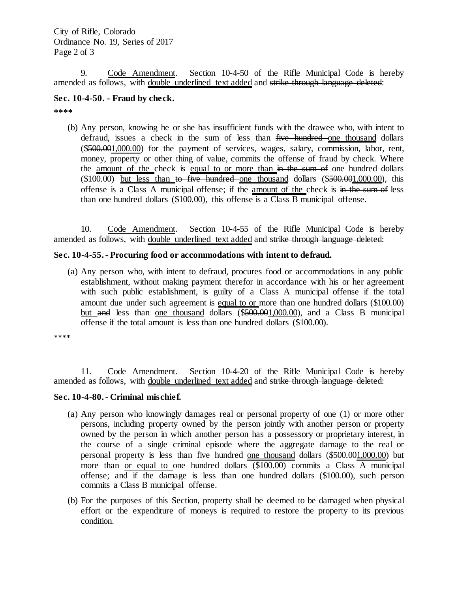9. Code Amendment. Section 10-4-50 of the Rifle Municipal Code is hereby amended as follows, with double underlined text added and strike through language deleted:

## **Sec. 10-4-50. - Fraud by check.**

**\*\*\*\***

(b) Any person, knowing he or she has insufficient funds with the drawee who, with intent to defraud, issues a check in the sum of less than five hundred one thousand dollars (\$500.001,000.00) for the payment of services, wages, salary, commission, labor, rent, money, property or other thing of value, commits the offense of fraud by check. Where the amount of the check is equal to or more than in the sum of one hundred dollars  $(\$100.00)$  but less than to five hundred one thousand dollars  $(\$500.001,000.00)$ , this offense is a Class A municipal offense; if the amount of the check is in the sum of less than one hundred dollars (\$100.00), this offense is a Class B municipal offense.

10. Code Amendment. Section 10-4-55 of the Rifle Municipal Code is hereby amended as follows, with double underlined text added and strike through language deleted:

#### **Sec. 10-4-55. - Procuring food or accommodations with intent to defraud.**

(a) Any person who, with intent to defraud, procures food or accommodations in any public establishment, without making payment therefor in accordance with his or her agreement with such public establishment, is guilty of a Class A municipal offense if the total amount due under such agreement is equal to or more than one hundred dollars (\$100.00) but and less than one thousand dollars (\$500.001,000.00), and a Class B municipal offense if the total amount is less than one hundred dollars (\$100.00).

\*\*\*\*

11. Code Amendment. Section 10-4-20 of the Rifle Municipal Code is hereby amended as follows, with double underlined text added and strike through language deleted:

#### **Sec. 10-4-80. - Criminal mischief.**

- (a) Any person who knowingly damages real or personal property of one (1) or more other persons, including property owned by the person jointly with another person or property owned by the person in which another person has a possessory or proprietary interest, in the course of a single criminal episode where the aggregate damage to the real or personal property is less than five hundred one thousand dollars (\$500.001,000.00) but more than or equal to one hundred dollars  $(\$100.00)$  commits a Class A municipal offense; and if the damage is less than one hundred dollars (\$100.00), such person commits a Class B municipal offense.
- (b) For the purposes of this Section, property shall be deemed to be damaged when physical effort or the expenditure of moneys is required to restore the property to its previous condition.